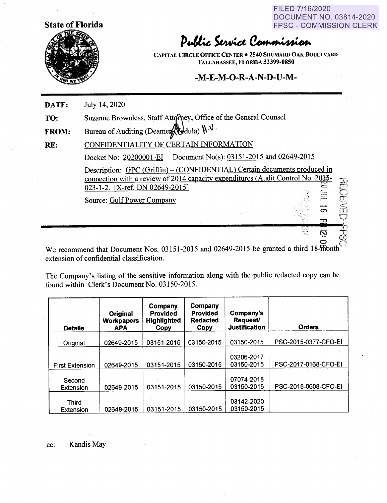FILED 7/16/2020 DOCUMENT NO. 03814-2020 FPSC - COMMISSION CLERK

> ' *c..:* ~ *:·.....,...*

 $\frac{1}{11}$  $\subset$  $\Box$ ~=

 $\mathbf{C}$  rn  $-$ 



Public Service Commission

**CAPITAL CIRCLE OFFICE CENTER** • **2540 SHUMARD OAK BOULEVARD TALLAHASSEE, FLORIDA 32399-0850** 

## **-M-E-M-O-R-A-N-D-U-M-**

**DATE:**  July 14, 2020

**TO:**  Suzanne Brownless, Staff Attorney, Office of the General Counsel

**FROM:**  Bureau of Auditing (Deamer  $\bigotimes$ dula)  $\mathfrak{h} \, \mathsf{V}$ 

**RE:**  CONFIDENTIALITY OF CERTAIN INFORMATION

Docket No: 20200001-EI Document No(s): 03151-2015 and 02649-2015

Description: GPC (Griffin) – (CONFIDENTIAL) Certain documents produced in connection with a review of 2014 capacity expenditures (Audit Control No. 2015-023-1-2. [X-ref. DN 02649-2015] -·:: *( <sup>~</sup>---*

Source: Gulf Power Company

We recommend that Document Nos. 03151-2015 and 02649-2015 be granted a third 18-ffionth extension of confidential classification.

----------------------------..;.,,\_ ... ,,.c,'"'" · ..... ---!h "··· N v •• *0,r,* o n

The Company's listing of the sensitive information along with the public redacted copy can be found within Clerk's Document No. 03150-2015.

| <b>Details</b>            | Original<br><b>Workpapers</b><br><b>APA</b> | Company<br>Provided<br><b>Highlighted</b><br>Copy | Company<br><b>Provided</b><br><b>Redacted</b><br>Copy | Company's<br><b>Request/</b><br><b>Justification</b> | <b>Orders</b>        |
|---------------------------|---------------------------------------------|---------------------------------------------------|-------------------------------------------------------|------------------------------------------------------|----------------------|
| Original                  | 02649-2015                                  | 03151-2015                                        | 03150-2015                                            | 03150-2015                                           | PSC-2015-0377-CFO-EI |
| <b>First Extension</b>    | 02649-2015                                  | 03151-2015                                        | 03150-2015                                            | 03206-2017<br>03150-2015                             | PSC-2017-0168-CFO-EI |
| Second<br>Extension       | 02649-2015                                  | 03151-2015                                        | 03150-2015                                            | 07074-2018<br>03150-2015                             | PSC-2018-0608-CFO-EI |
| <b>Third</b><br>Extension | 02649-2015                                  | 03151-2015                                        | 03150-2015                                            | 03142-2020<br>03150-2015                             |                      |

cc: Kandis May